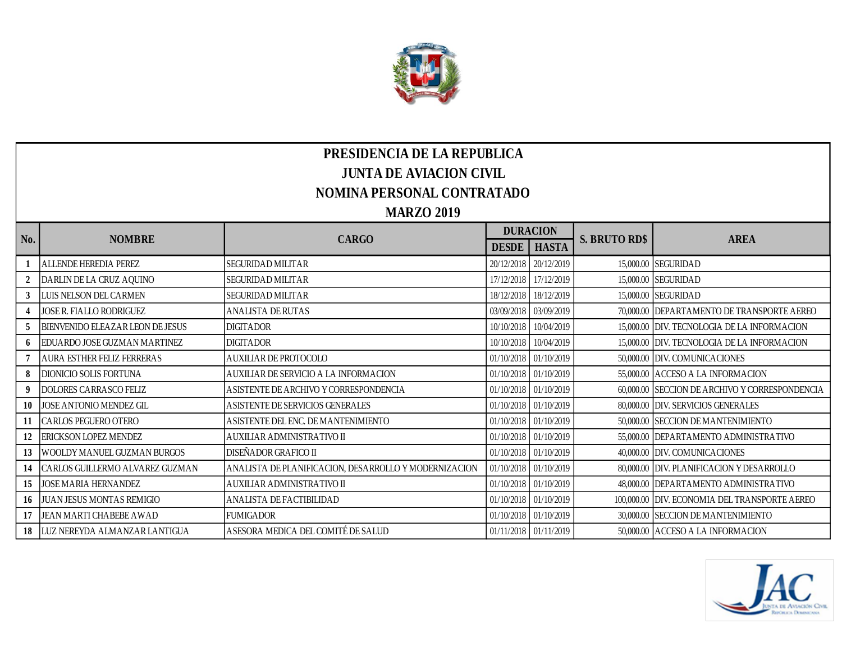

## **PRESIDENCIA DE LA REPUBLICA JUNTA DE AVIACION CIVIL NOMINA PERSONAL CONTRATADO MARZO 2019**

|     | <b>NOMBRE</b>                      | <b>CARGO</b>                                          | <b>DURACION</b> |                       |                      |                                               |
|-----|------------------------------------|-------------------------------------------------------|-----------------|-----------------------|----------------------|-----------------------------------------------|
| No. |                                    |                                                       | <b>DESDE</b>    | <b>HASTA</b>          | <b>S. BRUTO RD\$</b> | <b>AREA</b>                                   |
|     | <b>ALLENDE HEREDIA PEREZ</b>       | <b>SEGURIDAD MILITAR</b>                              | 20/12/2018      | 20/12/2019            |                      | 15,000.00 SEGURIDAD                           |
|     | DARLIN DE LA CRUZ AQUINO           | <b>SEGURIDAD MILITAR</b>                              | 17/12/2018      | 17/12/2019            |                      | 15,000.00 SEGURIDAD                           |
|     | LUIS NELSON DEL CARMEN             | <b>SEGURIDAD MILITAR</b>                              | 18/12/2018      | 18/12/2019            |                      | 15,000.00 SEGURIDAD                           |
|     | JOSE R. FIALLO RODRIGUEZ           | <b>ANALISTA DE RUTAS</b>                              |                 | 03/09/2018 03/09/2019 |                      | 70,000.00 DEPARTAMENTO DE TRANSPORTE AEREO    |
|     | BIENVENIDO ELEAZAR LEON DE JESUS   | <b>DIGITADOR</b>                                      | 10/10/2018      | 10/04/2019            |                      | 15,000.00 DIV. TECNOLOGIA DE LA INFORMACION   |
|     | EDUARDO JOSE GUZMAN MARTINEZ       | <b>DIGITADOR</b>                                      | 10/10/2018      | 10/04/2019            |                      | 15,000.00 DIV. TECNOLOGIA DE LA INFORMACION   |
|     | <b>AURA ESTHER FELIZ FERRERAS</b>  | AUXILIAR DE PROTOCOLO                                 |                 | 01/10/2018 01/10/2019 |                      | 50,000.00 DIV. COMUNICACIONES                 |
|     | <b>DIONICIO SOLIS FORTUNA</b>      | AUXILIAR DE SERVICIO A LA INFORMACION                 |                 | 01/10/2018 01/10/2019 |                      | 55,000.00 ACCESO A LA INFORMACION             |
|     | <b>DOLORES CARRASCO FELIZ</b>      | ASISTENTE DE ARCHIVO Y CORRESPONDENCIA                |                 | 01/10/2018 01/10/2019 | 60,000.00            | SECCION DE ARCHIVO Y CORRESPONDENCIA          |
| 10  | JOSE ANTONIO MENDEZ GIL            | A SISTENTE DE SERVICIOS GENERALES                     |                 | 01/10/2018 01/10/2019 |                      | 80,000.00 DIV. SERVICIOS GENERALES            |
| 11  | <b>CARLOS PEGUERO OTERO</b>        | ASISTENTE DEL ENC. DE MANTENIMIENTO                   |                 | 01/10/2018 01/10/2019 |                      | 50,000.00 SECCION DE MANTENIMIENTO            |
|     | <b>ERICKSON LOPEZ MENDEZ</b>       | AUXILIAR ADMINISTRATIVO II                            |                 | 01/10/2018 01/10/2019 |                      | 55,000.00 DEPARTAMENTO ADMINISTRATIVO         |
| 13  | WOOLDY MANUEL GUZMAN BURGOS        | DISEÑADOR GRAFICO II                                  |                 | 01/10/2018 01/10/2019 |                      | 40,000.00 DIV. COMUNICACIONES                 |
| 14  | CARLOS GUILLERMO ALVAREZ GUZMAN    | ANALISTA DE PLANIFICACION, DESARROLLO Y MODERNIZACION |                 | 01/10/2018 01/10/2019 |                      | 80,000.00 DIV. PLANIFICACION Y DESARROLLO     |
| 15  | <b>JOSE MARIA HERNANDEZ</b>        | AUXILIAR ADMINISTRATIVO II                            |                 | 01/10/2018 01/10/2019 |                      | 48,000.00 DEPARTAMENTO ADMINISTRATIVO         |
|     | 16 JUAN JESUS MONTAS REMIGIO       | ANALISTA DE FACTIBILIDAD                              |                 | 01/10/2018 01/10/2019 |                      | 100,000.00 DIV. ECONOMIA DEL TRANSPORTE AEREO |
| 17  | JEAN MARTI CHABEBE AWAD            | <b>FUMIGADOR</b>                                      |                 | 01/10/2018 01/10/2019 |                      | 30,000.00 SECCION DE MANTENIMIENTO            |
|     | 18   LUZ NEREYDA ALMANZAR LANTIGUA | ASESORA MEDICA DEL COMITÉ DE SALUD                    |                 | 01/11/2018 01/11/2019 |                      | 50,000.00 ACCESO A LA INFORMACION             |